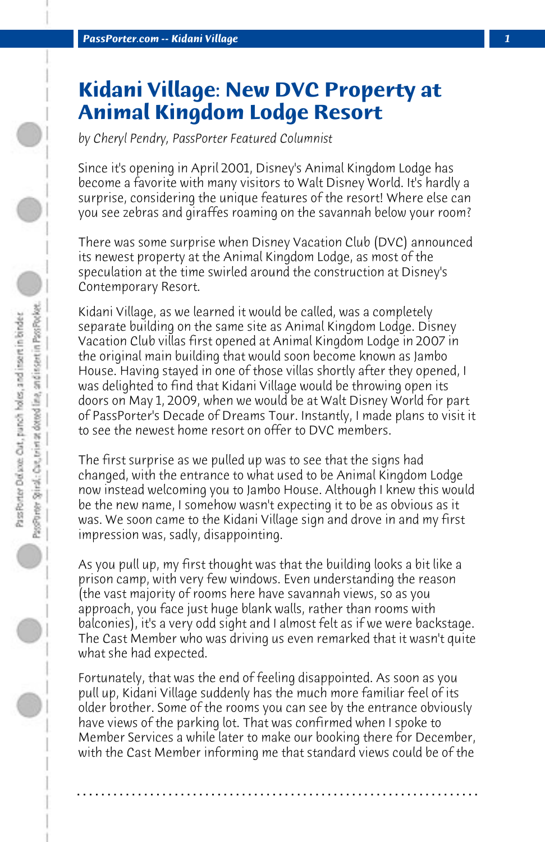## **Kidani Village: New DVC Property at Animal Kingdom Lodge Resort**

*by Cheryl Pendry, PassPorter Featured Columnist*

Since it's opening in April 2001, Disney's Animal Kingdom Lodge has become a favorite with many visitors to Walt Disney World. It's hardly a surprise, considering the unique features of the resort! Where else can you see zebras and giraffes roaming on the savannah below your room?

There was some surprise when Disney Vacation Club (DVC) announced its newest property at the Animal Kingdom Lodge, as most of the speculation at the time swirled around the construction at Disney's Contemporary Resort.

Kidani Village, as we learned it would be called, was a completely separate building on the same site as Animal Kingdom Lodge. Disney Vacation Club villas first opened at Animal Kingdom Lodge in 2007 in the original main building that would soon become known as Jambo House. Having stayed in one of those villas shortly after they opened, I was delighted to find that Kidani Village would be throwing open its doors on May 1, 2009, when we would be at Walt Disney World for part of PassPorter's Decade of Dreams Tour. Instantly, I made plans to visit it to see the newest home resort on offer to DVC members.

The first surprise as we pulled up was to see that the signs had changed, with the entrance to what used to be Animal Kingdom Lodge now instead welcoming you to Jambo House. Although I knew this would be the new name, I somehow wasn't expecting it to be as obvious as it was. We soon came to the Kidani Village sign and drove in and my first impression was, sadly, disappointing.

As you pull up, my first thought was that the building looks a bit like a prison camp, with very few windows. Even understanding the reason (the vast majority of rooms here have savannah views, so as you approach, you face just huge blank walls, rather than rooms with balconies), it's a very odd sight and I almost felt as if we were backstage. The Cast Member who was driving us even remarked that it wasn't quite what she had expected.

Fortunately, that was the end of feeling disappointed. As soon as you pull up, Kidani Village suddenly has the much more familiar feel of its older brother. Some of the rooms you can see by the entrance obviously have views of the parking lot. That was confirmed when I spoke to Member Services a while later to make our booking there for December, with the Cast Member informing me that standard views could be of the

**. . . . . . . . . . . . . . . . . . . . . . . . . . . . . . . . . . . . . . . . . . . . . . . . . . . . . . . . . . . . . . . . . .**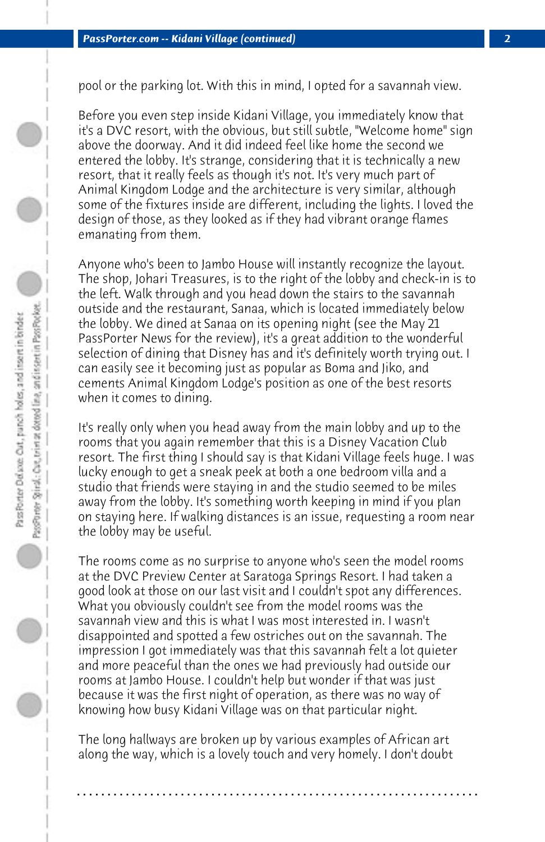pool or the parking lot. With this in mind, I opted for a savannah view.

Before you even step inside Kidani Village, you immediately know that it's a DVC resort, with the obvious, but still subtle, "Welcome home" sign above the doorway. And it did indeed feel like home the second we entered the lobby. It's strange, considering that it is technically a new resort, that it really feels as though it's not. It's very much part of Animal Kingdom Lodge and the architecture is very similar, although some of the fixtures inside are different, including the lights. I loved the design of those, as they looked as if they had vibrant orange flames emanating from them.

Anyone who's been to Jambo House will instantly recognize the layout. The shop, Johari Treasures, is to the right of the lobby and check-in is to the left. Walk through and you head down the stairs to the savannah outside and the restaurant, Sanaa, which is located immediately below the lobby. We dined at Sanaa on its opening night (see the May 21 PassPorter News for the review), it's a great addition to the wonderful selection of dining that Disney has and it's definitely worth trying out. I can easily see it becoming just as popular as Boma and Jiko, and cements Animal Kingdom Lodge's position as one of the best resorts when it comes to dining.

It's really only when you head away from the main lobby and up to the rooms that you again remember that this is a Disney Vacation Club resort. The first thing I should say is that Kidani Village feels huge. I was lucky enough to get a sneak peek at both a one bedroom villa and a studio that friends were staying in and the studio seemed to be miles away from the lobby. It's something worth keeping in mind if you plan on staying here. If walking distances is an issue, requesting a room near the lobby may be useful.

The rooms come as no surprise to anyone who's seen the model rooms at the DVC Preview Center at Saratoga Springs Resort. I had taken a good look at those on our last visit and I couldn't spot any differences. What you obviously couldn't see from the model rooms was the savannah view and this is what I was most interested in. I wasn't disappointed and spotted a few ostriches out on the savannah. The impression I got immediately was that this savannah felt a lot quieter and more peaceful than the ones we had previously had outside our rooms at Jambo House. I couldn't help but wonder if that was just because it was the first night of operation, as there was no way of knowing how busy Kidani Village was on that particular night.

The long hallways are broken up by various examples of African art along the way, which is a lovely touch and very homely. I don't doubt

**. . . . . . . . . . . . . . . . . . . . . . . . . . . . . . . . . . . . . . . . . . . . . . . . . . . . . . . . . . . . . . . . . .**